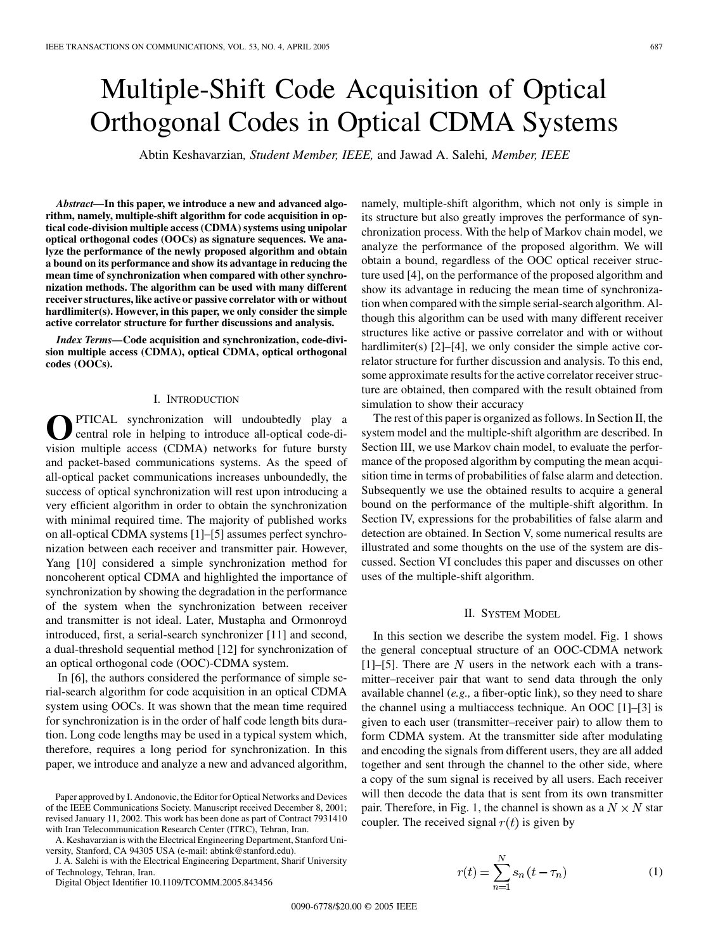# Multiple-Shift Code Acquisition of Optical Orthogonal Codes in Optical CDMA Systems

Abtin Keshavarzian*, Student Member, IEEE,* and Jawad A. Salehi*, Member, IEEE*

*Abstract—***In this paper, we introduce a new and advanced algorithm, namely, multiple-shift algorithm for code acquisition in optical code-division multiple access (CDMA) systems using unipolar optical orthogonal codes (OOCs) as signature sequences. We analyze the performance of the newly proposed algorithm and obtain a bound on its performance and show its advantage in reducing the mean time of synchronization when compared with other synchronization methods. The algorithm can be used with many different receiver structures, like active or passive correlator with or without hardlimiter(s). However, in this paper, we only consider the simple active correlator structure for further discussions and analysis.**

*Index Terms—***Code acquisition and synchronization, code-division multiple access (CDMA), optical CDMA, optical orthogonal codes (OOCs).**

#### I. INTRODUCTION

**O**PTICAL synchronization will undoubtedly play a<br>central role in helping to introduce all-optical code-di-<br>vision multiple access (CDMA) patturals for future hyper vision multiple access (CDMA) networks for future bursty and packet-based communications systems. As the speed of all-optical packet communications increases unboundedly, the success of optical synchronization will rest upon introducing a very efficient algorithm in order to obtain the synchronization with minimal required time. The majority of published works on all-optical CDMA systems [\[1\]](#page-10-0)–[[5\]](#page-10-0) assumes perfect synchronization between each receiver and transmitter pair. However, Yang [[10\]](#page-10-0) considered a simple synchronization method for noncoherent optical CDMA and highlighted the importance of synchronization by showing the degradation in the performance of the system when the synchronization between receiver and transmitter is not ideal. Later, Mustapha and Ormonroyd introduced, first, a serial-search synchronizer [\[11](#page-10-0)] and second, a dual-threshold sequential method [\[12](#page-10-0)] for synchronization of an optical orthogonal code (OOC)-CDMA system.

In [\[6](#page-10-0)], the authors considered the performance of simple serial-search algorithm for code acquisition in an optical CDMA system using OOCs. It was shown that the mean time required for synchronization is in the order of half code length bits duration. Long code lengths may be used in a typical system which, therefore, requires a long period for synchronization. In this paper, we introduce and analyze a new and advanced algorithm,

A. Keshavarzian is with the Electrical Engineering Department, Stanford University, Stanford, CA 94305 USA (e-mail: abtink@stanford.edu).

J. A. Salehi is with the Electrical Engineering Department, Sharif University of Technology, Tehran, Iran.

Digital Object Identifier 10.1109/TCOMM.2005.843456

namely, multiple-shift algorithm, which not only is simple in its structure but also greatly improves the performance of synchronization process. With the help of Markov chain model, we analyze the performance of the proposed algorithm. We will obtain a bound, regardless of the OOC optical receiver structure used [\[4](#page-10-0)], on the performance of the proposed algorithm and show its advantage in reducing the mean time of synchronization when compared with the simple serial-search algorithm. Although this algorithm can be used with many different receiver structures like active or passive correlator and with or without hardlimiter(s) [\[2](#page-10-0)]–[[4\]](#page-10-0), we only consider the simple active correlator structure for further discussion and analysis. To this end, some approximate results for the active correlator receiver structure are obtained, then compared with the result obtained from simulation to show their accuracy

The rest of this paper is organized as follows. In Section II, the system model and the multiple-shift algorithm are described. In Section III, we use Markov chain model, to evaluate the performance of the proposed algorithm by computing the mean acquisition time in terms of probabilities of false alarm and detection. Subsequently we use the obtained results to acquire a general bound on the performance of the multiple-shift algorithm. In Section IV, expressions for the probabilities of false alarm and detection are obtained. In Section V, some numerical results are illustrated and some thoughts on the use of the system are discussed. Section VI concludes this paper and discusses on other uses of the multiple-shift algorithm.

## II. SYSTEM MODEL

In this section we describe the system model. Fig. 1 shows the general conceptual structure of an OOC-CDMA network [\[1](#page-10-0)]–[\[5](#page-10-0)]. There are N users in the network each with a transmitter–receiver pair that want to send data through the only available channel (*e.g.,* a fiber-optic link), so they need to share the channel using a multiaccess technique. An OOC [[1\]](#page-10-0)–[\[3](#page-10-0)] is given to each user (transmitter–receiver pair) to allow them to form CDMA system. At the transmitter side after modulating and encoding the signals from different users, they are all added together and sent through the channel to the other side, where a copy of the sum signal is received by all users. Each receiver will then decode the data that is sent from its own transmitter pair. Therefore, in Fig. 1, the channel is shown as a  $N \times N$  star coupler. The received signal  $r(t)$  is given by

$$
r(t) = \sum_{n=1}^{N} s_n (t - \tau_n)
$$
 (1)

Paper approved by I. Andonovic, the Editor for Optical Networks and Devices of the IEEE Communications Society. Manuscript received December 8, 2001; revised January 11, 2002. This work has been done as part of Contract 7931410 with Iran Telecommunication Research Center (ITRC), Tehran, Iran.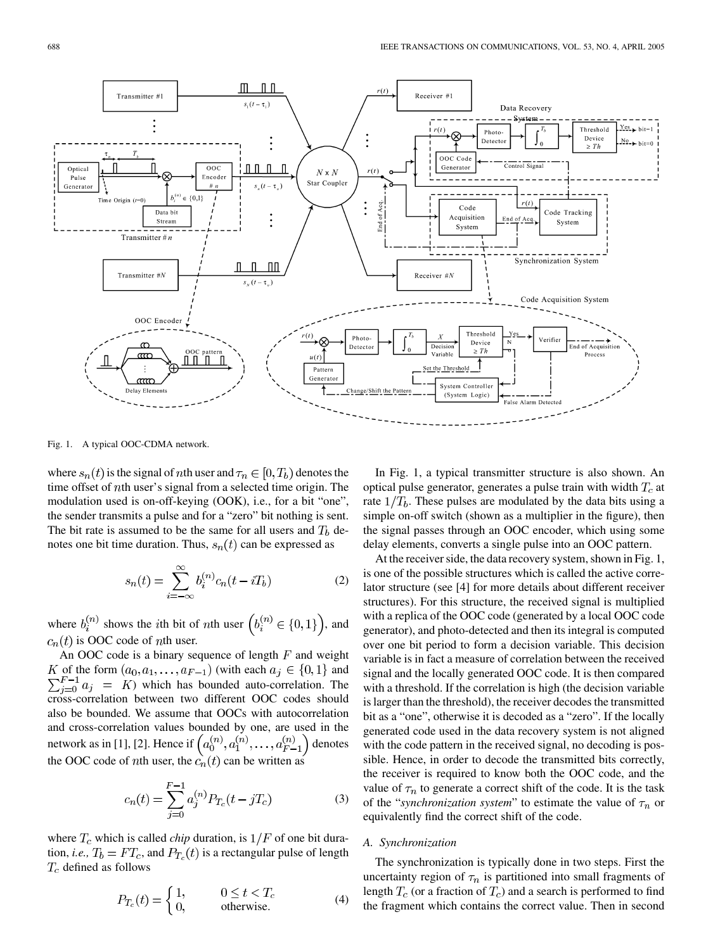

Fig. 1. A typical OOC-CDMA network.

where  $s_n(t)$  is the signal of nth user and  $\tau_n \in [0, T_b)$  denotes the time offset of  $n$ th user's signal from a selected time origin. The modulation used is on-off-keying (OOK), i.e., for a bit "one", the sender transmits a pulse and for a "zero" bit nothing is sent. The bit rate is assumed to be the same for all users and  $T_b$  denotes one bit time duration. Thus,  $s_n(t)$  can be expressed as

$$
s_n(t) = \sum_{i = -\infty}^{\infty} b_i^{(n)} c_n(t - iT_b)
$$
 (2)

where  $b_i^{(n)}$  shows the *i*th bit of *n*th user  $(b_i^{(n)} \in \{0,1\})$ , and  $c_n(t)$  is OOC code of *n*th user.

An OOC code is a binary sequence of length  $F$  and weight K of the form  $(a_0, a_1, \ldots, a_{F-1})$  (with each  $a_j \in \{0, 1\}$  and  $\sum_{j=0}^{F-1} a_j = K$ ) which has bounded auto-correlation. The cross-correlation between two different OOC codes should also be bounded. We assume that OOCs with autocorrelation and cross-correlation values bounded by one, are used in the network as in [\[1](#page-10-0)], [[2\]](#page-10-0). Hence if  $\left(a_0^{(n)}, a_1^{(n)}, \ldots, a_{F-1}^{(n)}\right)$  denotes the OOC code of *n*th user, the  $c_n(t)$  can be written as

$$
c_n(t) = \sum_{j=0}^{F-1} a_j^{(n)} P_{T_c}(t - jT_c)
$$
 (3)

where  $T_c$  which is called *chip* duration, is  $1/F$  of one bit duration, *i.e.*,  $T_b = FT_c$ , and  $P_{T_c}(t)$  is a rectangular pulse of length  $T_c$  defined as follows

$$
P_{T_c}(t) = \begin{cases} 1, & 0 \le t < T_c \\ 0, & \text{otherwise.} \end{cases}
$$
 (4)

In Fig. 1, a typical transmitter structure is also shown. An optical pulse generator, generates a pulse train with width  $T_c$  at rate  $1/T_b$ . These pulses are modulated by the data bits using a simple on-off switch (shown as a multiplier in the figure), then the signal passes through an OOC encoder, which using some delay elements, converts a single pulse into an OOC pattern.

At the receiver side, the data recovery system, shown in Fig. 1, is one of the possible structures which is called the active correlator structure (see [\[4](#page-10-0)] for more details about different receiver structures). For this structure, the received signal is multiplied with a replica of the OOC code (generated by a local OOC code generator), and photo-detected and then its integral is computed over one bit period to form a decision variable. This decision variable is in fact a measure of correlation between the received signal and the locally generated OOC code. It is then compared with a threshold. If the correlation is high (the decision variable is larger than the threshold), the receiver decodes the transmitted bit as a "one", otherwise it is decoded as a "zero". If the locally generated code used in the data recovery system is not aligned with the code pattern in the received signal, no decoding is possible. Hence, in order to decode the transmitted bits correctly, the receiver is required to know both the OOC code, and the value of  $\tau_n$  to generate a correct shift of the code. It is the task of the "*synchronization system*" to estimate the value of  $\tau_n$  or equivalently find the correct shift of the code.

### *A. Synchronization*

The synchronization is typically done in two steps. First the uncertainty region of  $\tau_n$  is partitioned into small fragments of length  $T_c$  (or a fraction of  $T_c$ ) and a search is performed to find the fragment which contains the correct value. Then in second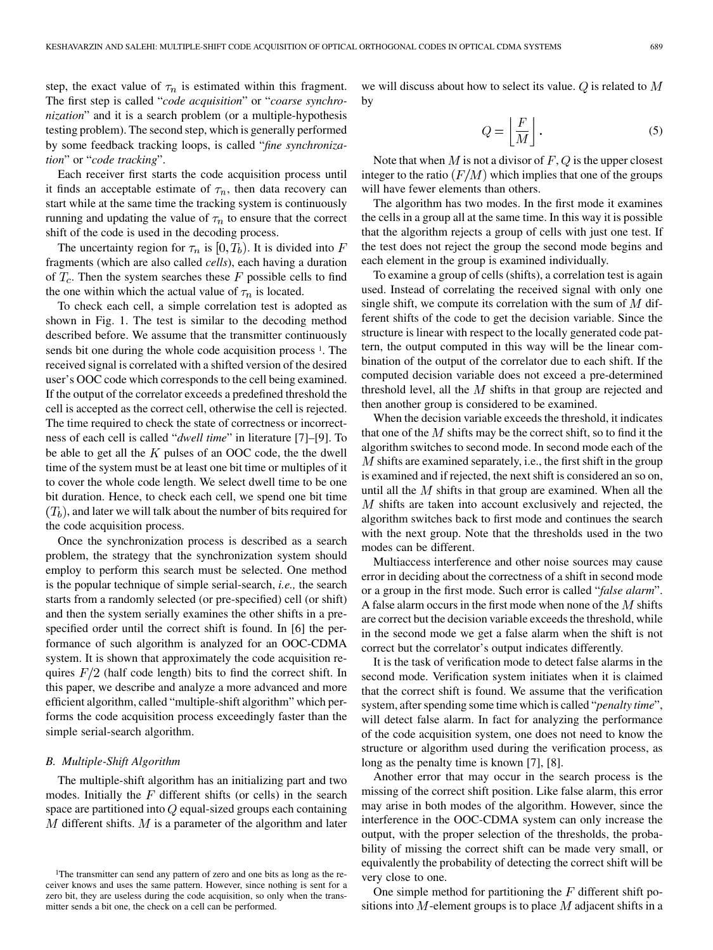step, the exact value of  $\tau_n$  is estimated within this fragment. The first step is called "*code acquisition*" or "*coarse synchronization*" and it is a search problem (or a multiple-hypothesis testing problem). The second step, which is generally performed by some feedback tracking loops, is called "*fine synchronization*" or "*code tracking*".

Each receiver first starts the code acquisition process until it finds an acceptable estimate of  $\tau_n$ , then data recovery can start while at the same time the tracking system is continuously running and updating the value of  $\tau_n$  to ensure that the correct shift of the code is used in the decoding process.

The uncertainty region for  $\tau_n$  is  $[0, T_b)$ . It is divided into F fragments (which are also called *cells*), each having a duration of  $T_c$ . Then the system searches these F possible cells to find the one within which the actual value of  $\tau_n$  is located.

To check each cell, a simple correlation test is adopted as shown in Fig. 1. The test is similar to the decoding method described before. We assume that the transmitter continuously sends bit one during the whole code acquisition process <sup>1</sup>. The received signal is correlated with a shifted version of the desired user's OOC code which corresponds to the cell being examined. If the output of the correlator exceeds a predefined threshold the cell is accepted as the correct cell, otherwise the cell is rejected. The time required to check the state of correctness or incorrectness of each cell is called "*dwell time*" in literature [[7\]](#page-10-0)–[\[9](#page-10-0)]. To be able to get all the  $K$  pulses of an OOC code, the the dwell time of the system must be at least one bit time or multiples of it to cover the whole code length. We select dwell time to be one bit duration. Hence, to check each cell, we spend one bit time  $(T_b)$ , and later we will talk about the number of bits required for the code acquisition process.

Once the synchronization process is described as a search problem, the strategy that the synchronization system should employ to perform this search must be selected. One method is the popular technique of simple serial-search, *i.e.,* the search starts from a randomly selected (or pre-specified) cell (or shift) and then the system serially examines the other shifts in a prespecified order until the correct shift is found. In [[6\]](#page-10-0) the performance of such algorithm is analyzed for an OOC-CDMA system. It is shown that approximately the code acquisition requires  $F/2$  (half code length) bits to find the correct shift. In this paper, we describe and analyze a more advanced and more efficient algorithm, called "multiple-shift algorithm" which performs the code acquisition process exceedingly faster than the simple serial-search algorithm.

### *B. Multiple-Shift Algorithm*

The multiple-shift algorithm has an initializing part and two modes. Initially the  $F$  different shifts (or cells) in the search space are partitioned into  $Q$  equal-sized groups each containing  $M$  different shifts.  $M$  is a parameter of the algorithm and later

we will discuss about how to select its value.  $Q$  is related to  $M$ by

$$
Q = \left\lfloor \frac{F}{M} \right\rfloor. \tag{5}
$$

Note that when  $M$  is not a divisor of  $F$ ,  $Q$  is the upper closest integer to the ratio  $(F/M)$  which implies that one of the groups will have fewer elements than others.

The algorithm has two modes. In the first mode it examines the cells in a group all at the same time. In this way it is possible that the algorithm rejects a group of cells with just one test. If the test does not reject the group the second mode begins and each element in the group is examined individually.

To examine a group of cells (shifts), a correlation test is again used. Instead of correlating the received signal with only one single shift, we compute its correlation with the sum of  $M$  different shifts of the code to get the decision variable. Since the structure is linear with respect to the locally generated code pattern, the output computed in this way will be the linear combination of the output of the correlator due to each shift. If the computed decision variable does not exceed a pre-determined threshold level, all the  $M$  shifts in that group are rejected and then another group is considered to be examined.

When the decision variable exceeds the threshold, it indicates that one of the  $M$  shifts may be the correct shift, so to find it the algorithm switches to second mode. In second mode each of the  $M$  shifts are examined separately, i.e., the first shift in the group is examined and if rejected, the next shift is considered an so on, until all the  $M$  shifts in that group are examined. When all the  $M$  shifts are taken into account exclusively and rejected, the algorithm switches back to first mode and continues the search with the next group. Note that the thresholds used in the two modes can be different.

Multiaccess interference and other noise sources may cause error in deciding about the correctness of a shift in second mode or a group in the first mode. Such error is called "*false alarm*". A false alarm occurs in the first mode when none of the  $M$  shifts are correct but the decision variable exceeds the threshold, while in the second mode we get a false alarm when the shift is not correct but the correlator's output indicates differently.

It is the task of verification mode to detect false alarms in the second mode. Verification system initiates when it is claimed that the correct shift is found. We assume that the verification system, after spending some time which is called "*penalty time*", will detect false alarm. In fact for analyzing the performance of the code acquisition system, one does not need to know the structure or algorithm used during the verification process, as long as the penalty time is known [\[7](#page-10-0)], [[8\]](#page-10-0).

Another error that may occur in the search process is the missing of the correct shift position. Like false alarm, this error may arise in both modes of the algorithm. However, since the interference in the OOC-CDMA system can only increase the output, with the proper selection of the thresholds, the probability of missing the correct shift can be made very small, or equivalently the probability of detecting the correct shift will be very close to one.

One simple method for partitioning the  $F$  different shift positions into  $M$ -element groups is to place  $M$  adjacent shifts in a

<sup>&</sup>lt;sup>1</sup>The transmitter can send any pattern of zero and one bits as long as the receiver knows and uses the same pattern. However, since nothing is sent for a zero bit, they are useless during the code acquisition, so only when the transmitter sends a bit one, the check on a cell can be performed.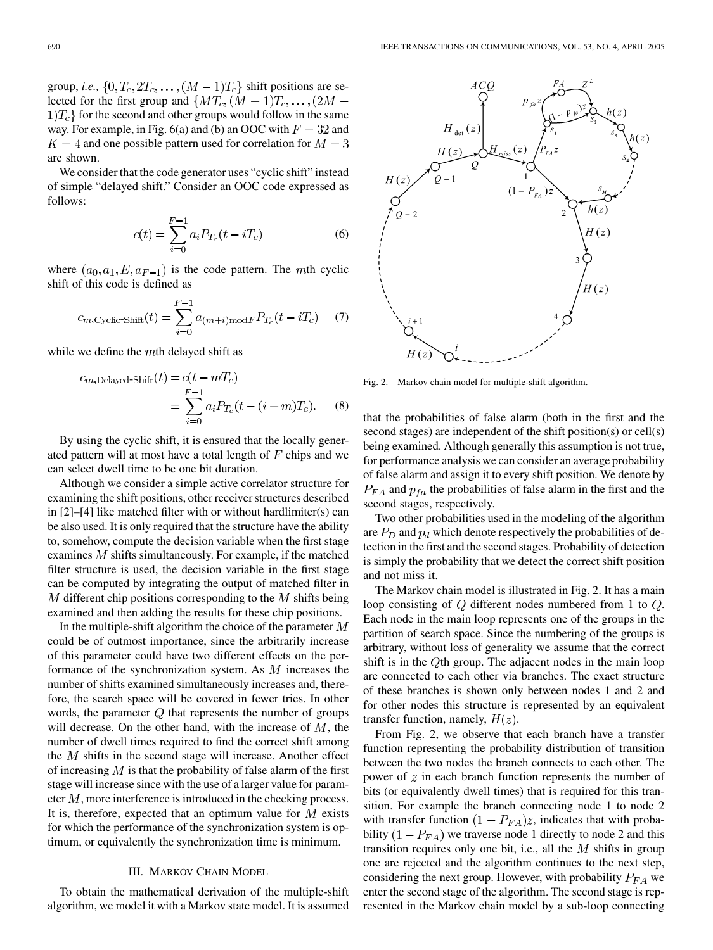group, *i.e.*,  $\{0, T_c, 2T_c, \dots, (M-1)T_c\}$  shift positions are selected for the first group and  $\{MT_c, (M+1)T_c, \ldots, (2M-1)\}$  $f(T_c)$  for the second and other groups would follow in the same way. For example, in Fig. 6(a) and (b) an OOC with  $F = 32$  and  $K = 4$  and one possible pattern used for correlation for  $M = 3$ are shown.

We consider that the code generator uses "cyclic shift" instead of simple "delayed shift." Consider an OOC code expressed as follows:

$$
c(t) = \sum_{i=0}^{F-1} a_i P_{T_c}(t - iT_c)
$$
 (6)

where  $(a_0, a_1, E, a_{F-1})$  is the code pattern. The mth cyclic shift of this code is defined as

$$
c_{m,\text{Cyclic-Shift}}(t) = \sum_{i=0}^{F-1} a_{(m+i) \text{mod} F} P_{T_c}(t - iT_c) \tag{7}
$$

while we define the  $m$ th delayed shift as

$$
C_{m,\text{Delayed-Shift}}(t) = c(t - mT_c)
$$
  
= 
$$
\sum_{i=0}^{F-1} a_i P_{T_c}(t - (i + m)T_c).
$$
 (8)

By using the cyclic shift, it is ensured that the locally generated pattern will at most have a total length of  $F$  chips and we can select dwell time to be one bit duration.

Although we consider a simple active correlator structure for examining the shift positions, other receiver structures described in [\[2](#page-10-0)]–[[4\]](#page-10-0) like matched filter with or without hardlimiter(s) can be also used. It is only required that the structure have the ability to, somehow, compute the decision variable when the first stage examines  $M$  shifts simultaneously. For example, if the matched filter structure is used, the decision variable in the first stage can be computed by integrating the output of matched filter in  $M$  different chip positions corresponding to the  $M$  shifts being examined and then adding the results for these chip positions.

In the multiple-shift algorithm the choice of the parameter  $M$ could be of outmost importance, since the arbitrarily increase of this parameter could have two different effects on the performance of the synchronization system. As  $M$  increases the number of shifts examined simultaneously increases and, therefore, the search space will be covered in fewer tries. In other words, the parameter  $Q$  that represents the number of groups will decrease. On the other hand, with the increase of  $M$ , the number of dwell times required to find the correct shift among the  $M$  shifts in the second stage will increase. Another effect of increasing  $M$  is that the probability of false alarm of the first stage will increase since with the use of a larger value for parameter  $M$ , more interference is introduced in the checking process. It is, therefore, expected that an optimum value for  $M$  exists for which the performance of the synchronization system is optimum, or equivalently the synchronization time is minimum.

## III. MARKOV CHAIN MODEL

To obtain the mathematical derivation of the multiple-shift algorithm, we model it with a Markov state model. It is assumed



Fig. 2. Markov chain model for multiple-shift algorithm.

that the probabilities of false alarm (both in the first and the second stages) are independent of the shift position(s) or cell(s) being examined. Although generally this assumption is not true, for performance analysis we can consider an average probability of false alarm and assign it to every shift position. We denote by  $P_{FA}$  and  $p_{fa}$  the probabilities of false alarm in the first and the second stages, respectively.

Two other probabilities used in the modeling of the algorithm are  $P_D$  and  $p_d$  which denote respectively the probabilities of detection in the first and the second stages. Probability of detection is simply the probability that we detect the correct shift position and not miss it.

The Markov chain model is illustrated in Fig. 2. It has a main loop consisting of  $Q$  different nodes numbered from 1 to  $Q$ . Each node in the main loop represents one of the groups in the partition of search space. Since the numbering of the groups is arbitrary, without loss of generality we assume that the correct shift is in the  $Q$ th group. The adjacent nodes in the main loop are connected to each other via branches. The exact structure of these branches is shown only between nodes 1 and 2 and for other nodes this structure is represented by an equivalent transfer function, namely,  $H(z)$ .

From Fig. 2, we observe that each branch have a transfer function representing the probability distribution of transition between the two nodes the branch connects to each other. The power of  $z$  in each branch function represents the number of bits (or equivalently dwell times) that is required for this transition. For example the branch connecting node 1 to node 2 with transfer function  $(1 - P_{FA})z$ , indicates that with probability  $(1 - P_{FA})$  we traverse node 1 directly to node 2 and this transition requires only one bit, i.e., all the  $M$  shifts in group one are rejected and the algorithm continues to the next step, considering the next group. However, with probability  $P_{FA}$  we enter the second stage of the algorithm. The second stage is represented in the Markov chain model by a sub-loop connecting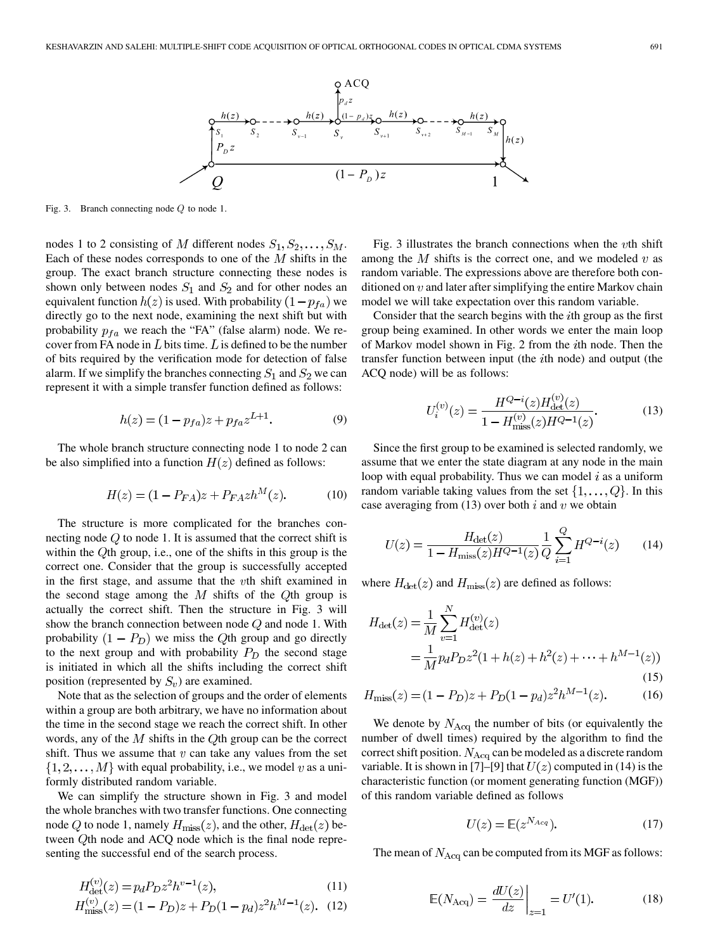

Fig. 3. Branch connecting node Q to node 1.

nodes 1 to 2 consisting of M different nodes  $S_1, S_2, \ldots, S_M$ . Each of these nodes corresponds to one of the  $M$  shifts in the group. The exact branch structure connecting these nodes is shown only between nodes  $S_1$  and  $S_2$  and for other nodes an equivalent function  $h(z)$  is used. With probability  $(1 - p_{fa})$  we directly go to the next node, examining the next shift but with probability  $p_{fa}$  we reach the "FA" (false alarm) node. We recover from FA node in  $L$  bits time.  $L$  is defined to be the number of bits required by the verification mode for detection of false alarm. If we simplify the branches connecting  $S_1$  and  $S_2$  we can represent it with a simple transfer function defined as follows:

$$
h(z) = (1 - p_{fa})z + p_{fa}z^{L+1}.
$$
 (9)

The whole branch structure connecting node 1 to node 2 can be also simplified into a function  $H(z)$  defined as follows:

$$
H(z) = (1 - P_{FA})z + P_{FA}zh^M(z).
$$
 (10)

The structure is more complicated for the branches connecting node  $Q$  to node 1. It is assumed that the correct shift is within the  $Q$ th group, i.e., one of the shifts in this group is the correct one. Consider that the group is successfully accepted in the first stage, and assume that the  $vt$ h shift examined in the second stage among the  $M$  shifts of the  $Q$ th group is actually the correct shift. Then the structure in Fig. 3 will show the branch connection between node  $Q$  and node 1. With probability  $(1 - P_D)$  we miss the Qth group and go directly to the next group and with probability  $P_D$  the second stage is initiated in which all the shifts including the correct shift position (represented by  $S_v$ ) are examined.

Note that as the selection of groups and the order of elements within a group are both arbitrary, we have no information about the time in the second stage we reach the correct shift. In other words, any of the  $M$  shifts in the  $Q$ th group can be the correct shift. Thus we assume that  $v$  can take any values from the set  $\{1, 2, \ldots, M\}$  with equal probability, i.e., we model v as a uniformly distributed random variable.

We can simplify the structure shown in Fig. 3 and model the whole branches with two transfer functions. One connecting node Q to node 1, namely  $H_{\text{miss}}(z)$ , and the other,  $H_{\text{det}}(z)$  between Qth node and ACQ node which is the final node representing the successful end of the search process.

$$
H_{\text{det}}^{(v)}(z) = p_d P_D z^2 h^{v-1}(z),\tag{11}
$$
  
\n
$$
H_{\text{miss}}^{(v)}(z) = (1 - P_D)z + P_D(1 - p_d)z^2 h^{M-1}(z).
$$
 (12)

Fig. 3 illustrates the branch connections when the  $vt$ h shift among the  $M$  shifts is the correct one, and we modeled  $v$  as random variable. The expressions above are therefore both conditioned on  $v$  and later after simplifying the entire Markov chain model we will take expectation over this random variable.

Consider that the search begins with the  $i$ th group as the first group being examined. In other words we enter the main loop of Markov model shown in Fig. 2 from the *i*th node. Then the transfer function between input (the  $i$ th node) and output (the ACQ node) will be as follows:

$$
U_i^{(v)}(z) = \frac{H^{Q-i}(z)H_{\text{det}}^{(v)}(z)}{1 - H_{\text{miss}}^{(v)}(z)H^{Q-1}(z)}.
$$
(13)

Since the first group to be examined is selected randomly, we assume that we enter the state diagram at any node in the main loop with equal probability. Thus we can model  $i$  as a uniform random variable taking values from the set  $\{1, \ldots, Q\}$ . In this case averaging from  $(13)$  over both i and v we obtain

$$
U(z) = \frac{H_{\text{det}}(z)}{1 - H_{\text{miss}}(z)H^{Q-1}(z)} \frac{1}{Q} \sum_{i=1}^{Q} H^{Q-i}(z) \tag{14}
$$

where  $H_{\text{det}}(z)$  and  $H_{\text{miss}}(z)$  are defined as follows:

$$
H_{\text{det}}(z) = \frac{1}{M} \sum_{v=1}^{N} H_{\text{det}}^{(v)}(z)
$$
  
= 
$$
\frac{1}{M} p_d P_D z^2 (1 + h(z) + h^2(z) + \dots + h^{M-1}(z))
$$
(15)

$$
H_{\text{miss}}(z) = (1 - P_D)z + P_D(1 - p_d)z^2 h^{M - 1}(z).
$$
 (16)

We denote by  $N_{\text{Acq}}$  the number of bits (or equivalently the number of dwell times) required by the algorithm to find the correct shift position.  $N_{\text{Acq}}$  can be modeled as a discrete random variable. It is shown in [\[7](#page-10-0)]–[[9\]](#page-10-0) that  $U(z)$  computed in (14) is the characteristic function (or moment generating function (MGF)) of this random variable defined as follows

$$
U(z) = \mathbb{E}(z^{N_{Acq}}). \tag{17}
$$

The mean of  $N_{\text{Acq}}$  can be computed from its MGF as follows:

$$
\mathbb{E}(N_{\text{Acq}}) = \frac{dU(z)}{dz}\bigg|_{z=1} = U'(1). \tag{18}
$$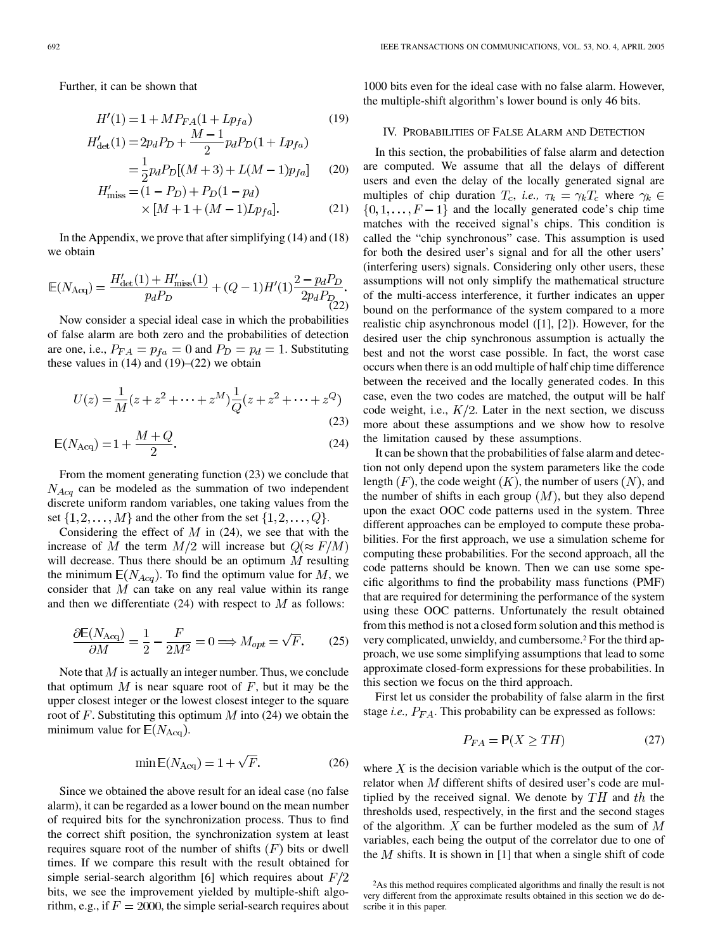Further, it can be shown that

$$
H'(1) = 1 + M P_{FA}(1 + L p_{fa})
$$
\n
$$
H'_{\text{det}}(1) = 2p_d P_D + \frac{M-1}{2} p_d P_D (1 + L p_{fa})
$$
\n
$$
= \frac{1}{2} p_d P_D [(M+3) + L(M-1) p_{fa}]
$$
\n(20)

$$
H'_{\text{miss}} = (1 - P_D) + P_D(1 - p_d)
$$
  
× [M + 1 + (M - 1)Lp<sub>fa</sub>]. (21)

In the Appendix, we prove that after simplifying (14) and (18) we obtain

$$
\mathbb{E}(N_{\text{Acq}}) = \frac{H'_{\text{det}}(1) + H'_{\text{miss}}(1)}{p_d P_D} + (Q - 1)H'(1)\frac{2 - p_d P_D}{2p_d P_D}.
$$
\n(22)

Now consider a special ideal case in which the probabilities of false alarm are both zero and the probabilities of detection are one, i.e.,  $P_{FA} = p_{fa} = 0$  and  $P_D = p_d = 1$ . Substituting these values in  $(14)$  and  $(19)–(22)$  we obtain

$$
U(z) = \frac{1}{M}(z + z^2 + \dots + z^M)\frac{1}{Q}(z + z^2 + \dots + z^Q)
$$
\n(23)

$$
M + Q \tag{2}
$$

$$
\mathbb{E}(N_{\text{Acq}}) = 1 + \frac{M + Q}{2}.\tag{24}
$$

From the moment generating function (23) we conclude that  $N_{Aca}$  can be modeled as the summation of two independent discrete uniform random variables, one taking values from the set  $\{1, 2, \ldots, M\}$  and the other from the set  $\{1, 2, \ldots, Q\}$ .

Considering the effect of  $M$  in (24), we see that with the increase of M the term  $M/2$  will increase but  $Q(\approx F/M)$ will decrease. Thus there should be an optimum  $M$  resulting the minimum  $\mathbb{E}(N_{Acq})$ . To find the optimum value for M, we consider that  $M$  can take on any real value within its range and then we differentiate (24) with respect to  $M$  as follows:

$$
\frac{\partial \mathbb{E}(N_{\text{Acq}})}{\partial M} = \frac{1}{2} - \frac{F}{2M^2} = 0 \Longrightarrow M_{opt} = \sqrt{F}.
$$
 (25)

Note that  $M$  is actually an integer number. Thus, we conclude that optimum M is near square root of  $F$ , but it may be the upper closest integer or the lowest closest integer to the square root of F. Substituting this optimum M into (24) we obtain the minimum value for  $E(N_{\text{Acq}})$ .

$$
\min \mathbb{E}(N_{\text{Acq}}) = 1 + \sqrt{F}.\tag{26}
$$

Since we obtained the above result for an ideal case (no false alarm), it can be regarded as a lower bound on the mean number of required bits for the synchronization process. Thus to find the correct shift position, the synchronization system at least requires square root of the number of shifts  $(F)$  bits or dwell times. If we compare this result with the result obtained for simple serial-search algorithm [[6\]](#page-10-0) which requires about  $F/2$ bits, we see the improvement yielded by multiple-shift algorithm, e.g., if  $F = 2000$ , the simple serial-search requires about

1000 bits even for the ideal case with no false alarm. However, the multiple-shift algorithm's lower bound is only 46 bits.

## IV. PROBABILITIES OF FALSE ALARM AND DETECTION

In this section, the probabilities of false alarm and detection are computed. We assume that all the delays of different users and even the delay of the locally generated signal are multiples of chip duration  $T_c$ , *i.e.*,  $\tau_k = \gamma_k T_c$  where  $\gamma_k \in$  $\{0, 1, \ldots, F-1\}$  and the locally generated code's chip time matches with the received signal's chips. This condition is called the "chip synchronous" case. This assumption is used for both the desired user's signal and for all the other users' (interfering users) signals. Considering only other users, these assumptions will not only simplify the mathematical structure of the multi-access interference, it further indicates an upper bound on the performance of the system compared to a more realistic chip asynchronous model ([[1\]](#page-10-0), [\[2](#page-10-0)]). However, for the desired user the chip synchronous assumption is actually the best and not the worst case possible. In fact, the worst case occurs when there is an odd multiple of half chip time difference between the received and the locally generated codes. In this case, even the two codes are matched, the output will be half code weight, i.e.,  $K/2$ . Later in the next section, we discuss more about these assumptions and we show how to resolve the limitation caused by these assumptions.

It can be shown that the probabilities of false alarm and detection not only depend upon the system parameters like the code length  $(F)$ , the code weight  $(K)$ , the number of users  $(N)$ , and the number of shifts in each group  $(M)$ , but they also depend upon the exact OOC code patterns used in the system. Three different approaches can be employed to compute these probabilities. For the first approach, we use a simulation scheme for computing these probabilities. For the second approach, all the code patterns should be known. Then we can use some specific algorithms to find the probability mass functions (PMF) that are required for determining the performance of the system using these OOC patterns. Unfortunately the result obtained from this method is not a closed form solution and this method is very complicated, unwieldy, and cumbersome.2 For the third approach, we use some simplifying assumptions that lead to some approximate closed-form expressions for these probabilities. In this section we focus on the third approach.

First let us consider the probability of false alarm in the first stage *i.e.*,  $P_{FA}$ . This probability can be expressed as follows:

$$
P_{FA} = \mathbb{P}(X \ge TH) \tag{27}
$$

where X is the decision variable which is the output of the correlator when  $M$  different shifts of desired user's code are multiplied by the received signal. We denote by  $TH$  and the thresholds used, respectively, in the first and the second stages of the algorithm.  $X$  can be further modeled as the sum of  $M$ variables, each being the output of the correlator due to one of the M shifts. It is shown in [[1\]](#page-10-0) that when a single shift of code

<sup>2</sup>As this method requires complicated algorithms and finally the result is not very different from the approximate results obtained in this section we do describe it in this paper.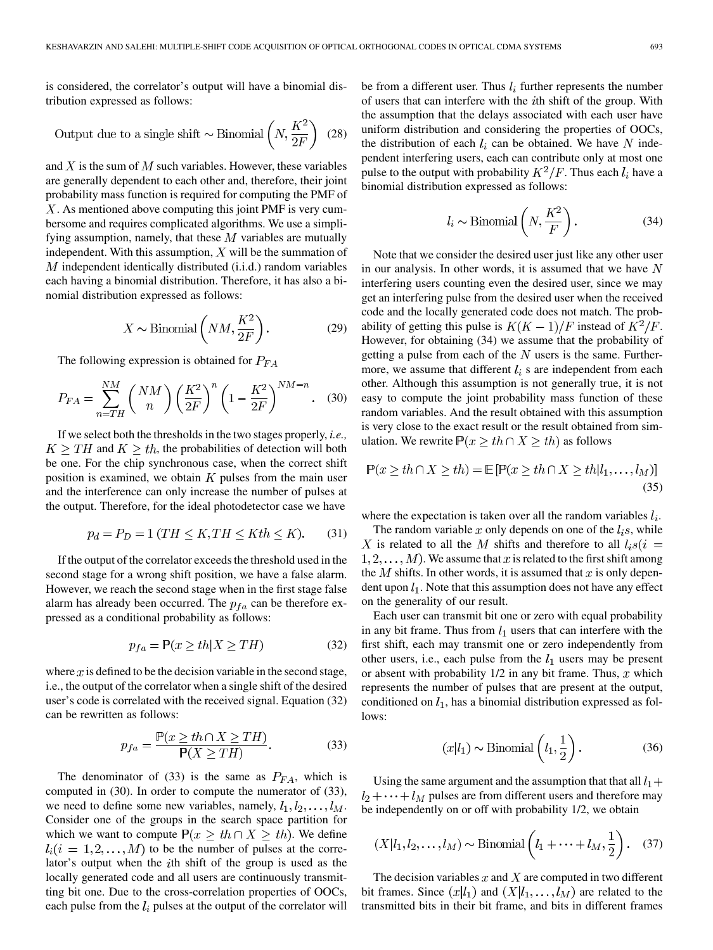is considered, the correlator's output will have a binomial distribution expressed as follows:

Output due to a single shift 
$$
\sim
$$
 Binomial  $\left(N, \frac{K^2}{2F}\right)$  (28)

and X is the sum of M such variables. However, these variables are generally dependent to each other and, therefore, their joint probability mass function is required for computing the PMF of  $X$ . As mentioned above computing this joint PMF is very cumbersome and requires complicated algorithms. We use a simplifying assumption, namely, that these  $M$  variables are mutually independent. With this assumption,  $X$  will be the summation of  $M$  independent identically distributed (i.i.d.) random variables each having a binomial distribution. Therefore, it has also a binomial distribution expressed as follows:

$$
X \sim \text{Binomial}\left(NM, \frac{K^2}{2F}\right). \tag{29}
$$

The following expression is obtained for  $P_{FA}$ 

$$
P_{FA} = \sum_{n=TH}^{NM} \binom{NM}{n} \left(\frac{K^2}{2F}\right)^n \left(1 - \frac{K^2}{2F}\right)^{NM-n}.
$$
 (30)

If we select both the thresholds in the two stages properly, *i.e.,*  $K \geq TH$  and  $K \geq th$ , the probabilities of detection will both be one. For the chip synchronous case, when the correct shift position is examined, we obtain  $K$  pulses from the main user and the interference can only increase the number of pulses at the output. Therefore, for the ideal photodetector case we have

$$
p_d = P_D = 1 \ (TH \le K, TH \le Kth \le K). \tag{31}
$$

If the output of the correlator exceeds the threshold used in the second stage for a wrong shift position, we have a false alarm. However, we reach the second stage when in the first stage false alarm has already been occurred. The  $p_{fa}$  can be therefore expressed as a conditional probability as follows:

$$
p_{fa} = \mathbb{P}(x \ge th | X \ge TH)
$$
\n(32)

where  $x$  is defined to be the decision variable in the second stage, i.e., the output of the correlator when a single shift of the desired user's code is correlated with the received signal. Equation (32) can be rewritten as follows:

$$
p_{fa} = \frac{\mathbb{P}(x \ge th \cap X \ge TH)}{\mathbb{P}(X \ge TH)}.
$$
 (33)

The denominator of (33) is the same as  $P_{FA}$ , which is computed in (30). In order to compute the numerator of (33), we need to define some new variables, namely,  $l_1, l_2, \ldots, l_M$ . Consider one of the groups in the search space partition for which we want to compute  $P(x \ge th \cap X \ge th)$ . We define  $l_i(i = 1, 2, \dots, M)$  to be the number of pulses at the correlator's output when the  $i$ th shift of the group is used as the locally generated code and all users are continuously transmitting bit one. Due to the cross-correlation properties of OOCs, each pulse from the  $l_i$  pulses at the output of the correlator will

be from a different user. Thus  $l_i$  further represents the number of users that can interfere with the *i*th shift of the group. With the assumption that the delays associated with each user have uniform distribution and considering the properties of OOCs, the distribution of each  $l_i$  can be obtained. We have N independent interfering users, each can contribute only at most one pulse to the output with probability  $K^2/F$ . Thus each  $l_i$  have a binomial distribution expressed as follows:

$$
l_i \sim \text{Binomial}\left(N, \frac{K^2}{F}\right).
$$
 (34)

Note that we consider the desired user just like any other user in our analysis. In other words, it is assumed that we have  $N$ interfering users counting even the desired user, since we may get an interfering pulse from the desired user when the received code and the locally generated code does not match. The probability of getting this pulse is  $K(K-1)/F$  instead of  $K^2/F$ . However, for obtaining (34) we assume that the probability of getting a pulse from each of the  $N$  users is the same. Furthermore, we assume that different  $l_i$  s are independent from each other. Although this assumption is not generally true, it is not easy to compute the joint probability mass function of these random variables. And the result obtained with this assumption is very close to the exact result or the result obtained from simulation. We rewrite  $P(x \ge th \cap X \ge th)$  as follows

$$
\mathbb{P}(x \ge th \cap X \ge th) = \mathbb{E}\left[\mathbb{P}(x \ge th \cap X \ge th | l_1, \dots, l_M)\right]
$$
\n(35)

where the expectation is taken over all the random variables  $l_i$ .

The random variable x only depends on one of the  $l_i$ s, while X is related to all the M shifts and therefore to all  $l_i s(i)$  $1, 2, \ldots, M$ ). We assume that x is related to the first shift among the  $M$  shifts. In other words, it is assumed that  $x$  is only dependent upon  $l_1$ . Note that this assumption does not have any effect on the generality of our result.

Each user can transmit bit one or zero with equal probability in any bit frame. Thus from  $l_1$  users that can interfere with the first shift, each may transmit one or zero independently from other users, i.e., each pulse from the  $l_1$  users may be present or absent with probability  $1/2$  in any bit frame. Thus, x which represents the number of pulses that are present at the output, conditioned on  $l_1$ , has a binomial distribution expressed as follows:

$$
(x|l_1) \sim \text{Binomial}\left(l_1, \frac{1}{2}\right). \tag{36}
$$

Using the same argument and the assumption that that all  $l_1$  +  $l_2 + \cdots + l_M$  pulses are from different users and therefore may be independently on or off with probability 1/2, we obtain

$$
(X|l_1, l_2, \dots, l_M) \sim \text{Binomial}\left(l_1 + \dots + l_M, \frac{1}{2}\right). \quad (37)
$$

The decision variables  $x$  and  $X$  are computed in two different bit frames. Since  $(x|l_1)$  and  $(X|l_1,\ldots,l_M)$  are related to the transmitted bits in their bit frame, and bits in different frames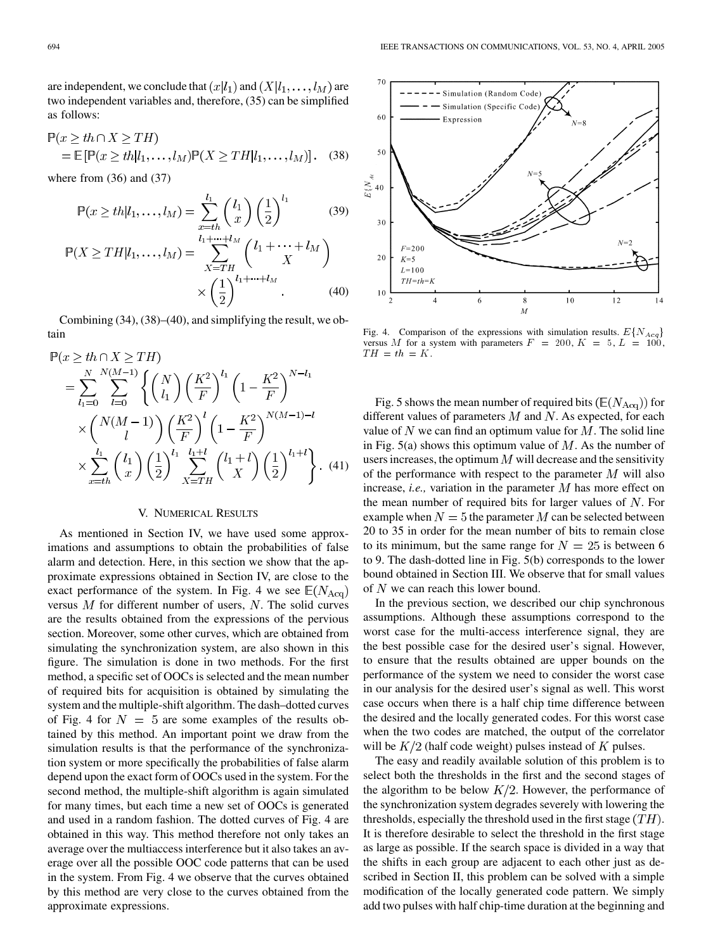are independent, we conclude that  $(x|l_1)$  and  $(X|l_1,\ldots,l_M)$  are two independent variables and, therefore, (35) can be simplified as follows:

$$
\mathbb{P}(x \ge th \cap X \ge TH)
$$
  
=  $\mathbb{E}[\mathbb{P}(x \ge th | l_1, ..., l_M)\mathbb{P}(X \ge TH | l_1, ..., l_M)].$  (38)

where from (36) and (37)

$$
\mathbb{P}(x \ge th | l_1, \dots, l_M) = \sum_{x = th}^{l_1} {l_1 \choose x} \left(\frac{1}{2}\right)^{l_1} \tag{39}
$$

$$
\mathbb{P}(X \ge TH | l_1, \dots, l_M) = \sum_{X = TH}^{l_1 + \dots + l_M} {l_1 + \dots + l_M \choose X} \times \left(\frac{1}{2}\right)^{l_1 + \dots + l_M} \tag{40}
$$

Combining (34), (38)–(40), and simplifying the result, we obtain

$$
\mathbb{P}(x \ge th \cap X \ge TH)
$$
\n
$$
= \sum_{l_1=0}^{N} \sum_{l=0}^{N(M-1)} \left\{ \binom{N}{l_1} \left( \frac{K^2}{F} \right)^{l_1} \left( 1 - \frac{K^2}{F} \right)^{N-l_1} \right\}
$$
\n
$$
\times \left( \frac{N(M-1)}{l} \right) \left( \frac{K^2}{F} \right)^{l} \left( 1 - \frac{K^2}{F} \right)^{N(M-1)-l}
$$
\n
$$
\times \sum_{x=th}^{l_1} \binom{l_1}{x} \left( \frac{1}{2} \right)^{l_1} \sum_{X=TH}^{l_1+l} \binom{l_1+l}{X} \left( \frac{1}{2} \right)^{l_1+l} \right\} . \tag{41}
$$

## V. NUMERICAL RESULTS

As mentioned in Section IV, we have used some approximations and assumptions to obtain the probabilities of false alarm and detection. Here, in this section we show that the approximate expressions obtained in Section IV, are close to the exact performance of the system. In Fig. 4 we see  $E(N_{\text{Acc}})$ versus  $M$  for different number of users,  $N$ . The solid curves are the results obtained from the expressions of the pervious section. Moreover, some other curves, which are obtained from simulating the synchronization system, are also shown in this figure. The simulation is done in two methods. For the first method, a specific set of OOCs is selected and the mean number of required bits for acquisition is obtained by simulating the system and the multiple-shift algorithm. The dash–dotted curves of Fig. 4 for  $N = 5$  are some examples of the results obtained by this method. An important point we draw from the simulation results is that the performance of the synchronization system or more specifically the probabilities of false alarm depend upon the exact form of OOCs used in the system. For the second method, the multiple-shift algorithm is again simulated for many times, but each time a new set of OOCs is generated and used in a random fashion. The dotted curves of Fig. 4 are obtained in this way. This method therefore not only takes an average over the multiaccess interference but it also takes an average over all the possible OOC code patterns that can be used in the system. From Fig. 4 we observe that the curves obtained by this method are very close to the curves obtained from the approximate expressions.



Fig. 4. Comparison of the expressions with simulation results.  $E\{N_{A_{eq}}\}$ versus M for a system with parameters  $F = 200, K = 5, L = 100$ ,  $TH = th = K.$ 

Fig. 5 shows the mean number of required bits ( $E(N_{\text{Acq}})$ ) for different values of parameters  $M$  and  $N$ . As expected, for each value of N we can find an optimum value for  $M$ . The solid line in Fig.  $5(a)$  shows this optimum value of M. As the number of users increases, the optimum  $M$  will decrease and the sensitivity of the performance with respect to the parameter  $M$  will also increase, *i.e.*, variation in the parameter  $M$  has more effect on the mean number of required bits for larger values of  $N$ . For example when  $N = 5$  the parameter M can be selected between 20 to 35 in order for the mean number of bits to remain close to its minimum, but the same range for  $N = 25$  is between 6 to 9. The dash-dotted line in Fig. 5(b) corresponds to the lower bound obtained in Section III. We observe that for small values of  $N$  we can reach this lower bound.

In the previous section, we described our chip synchronous assumptions. Although these assumptions correspond to the worst case for the multi-access interference signal, they are the best possible case for the desired user's signal. However, to ensure that the results obtained are upper bounds on the performance of the system we need to consider the worst case in our analysis for the desired user's signal as well. This worst case occurs when there is a half chip time difference between the desired and the locally generated codes. For this worst case when the two codes are matched, the output of the correlator will be  $K/2$  (half code weight) pulses instead of K pulses.

The easy and readily available solution of this problem is to select both the thresholds in the first and the second stages of the algorithm to be below  $K/2$ . However, the performance of the synchronization system degrades severely with lowering the thresholds, especially the threshold used in the first stage  $(TH)$ . It is therefore desirable to select the threshold in the first stage as large as possible. If the search space is divided in a way that the shifts in each group are adjacent to each other just as described in Section II, this problem can be solved with a simple modification of the locally generated code pattern. We simply add two pulses with half chip-time duration at the beginning and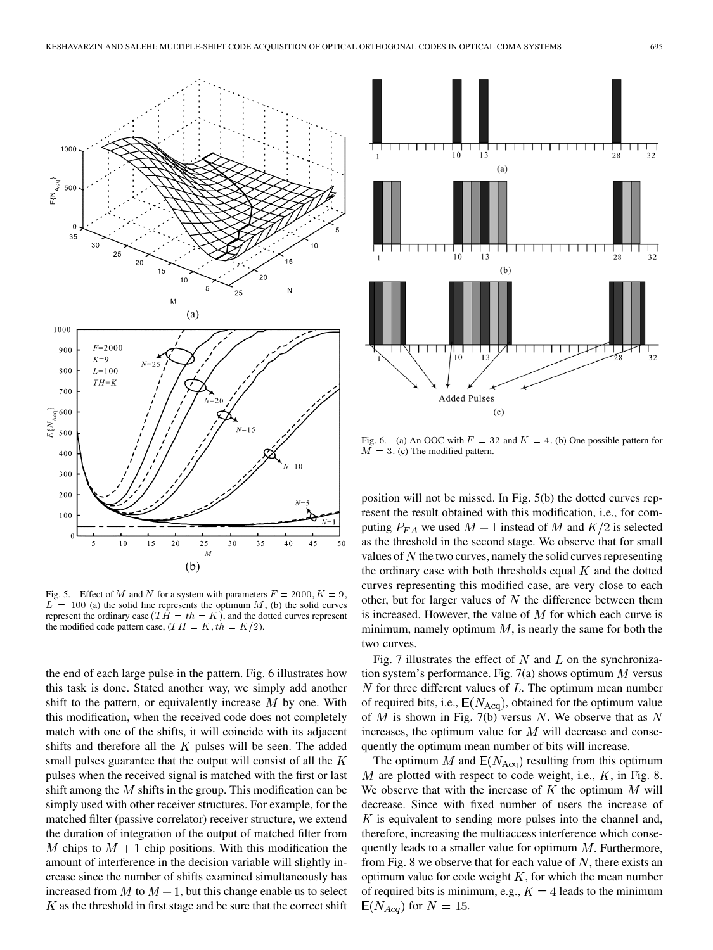

Fig. 5. Effect of M and N for a system with parameters  $F = 2000, K = 9$ ,  $L = 100$  (a) the solid line represents the optimum M, (b) the solid curves represent the ordinary case ( $TH = th = K$ ), and the dotted curves represent the modified code pattern case,  $(TH = K, th = K/2)$ .

the end of each large pulse in the pattern. Fig. 6 illustrates how this task is done. Stated another way, we simply add another shift to the pattern, or equivalently increase  $M$  by one. With this modification, when the received code does not completely match with one of the shifts, it will coincide with its adjacent shifts and therefore all the  $K$  pulses will be seen. The added small pulses guarantee that the output will consist of all the  $K$ pulses when the received signal is matched with the first or last shift among the  $M$  shifts in the group. This modification can be simply used with other receiver structures. For example, for the matched filter (passive correlator) receiver structure, we extend the duration of integration of the output of matched filter from M chips to  $M + 1$  chip positions. With this modification the amount of interference in the decision variable will slightly increase since the number of shifts examined simultaneously has increased from M to  $M + 1$ , but this change enable us to select  $K$  as the threshold in first stage and be sure that the correct shift



Fig. 6. (a) An OOC with  $F = 32$  and  $K = 4$ . (b) One possible pattern for  $M = 3$ . (c) The modified pattern.

position will not be missed. In Fig. 5(b) the dotted curves represent the result obtained with this modification, i.e., for computing  $P_{FA}$  we used  $M + 1$  instead of M and  $K/2$  is selected as the threshold in the second stage. We observe that for small values of  $N$  the two curves, namely the solid curves representing the ordinary case with both thresholds equal  $K$  and the dotted curves representing this modified case, are very close to each other, but for larger values of  $N$  the difference between them is increased. However, the value of  $M$  for which each curve is minimum, namely optimum  $M$ , is nearly the same for both the two curves.

Fig. 7 illustrates the effect of  $N$  and  $L$  on the synchronization system's performance. Fig.  $7(a)$  shows optimum M versus  $N$  for three different values of  $L$ . The optimum mean number of required bits, i.e.,  $E(N_{\text{Acq}})$ , obtained for the optimum value of  $M$  is shown in Fig. 7(b) versus  $N$ . We observe that as  $N$ increases, the optimum value for  $M$  will decrease and consequently the optimum mean number of bits will increase.

The optimum M and  $E(N_{\text{Acq}})$  resulting from this optimum  $M$  are plotted with respect to code weight, i.e.,  $K$ , in Fig. 8. We observe that with the increase of  $K$  the optimum  $M$  will decrease. Since with fixed number of users the increase of  $K$  is equivalent to sending more pulses into the channel and, therefore, increasing the multiaccess interference which consequently leads to a smaller value for optimum  $M$ . Furthermore, from Fig. 8 we observe that for each value of  $N$ , there exists an optimum value for code weight  $K$ , for which the mean number of required bits is minimum, e.g.,  $K = 4$  leads to the minimum  $E(N_{Acq})$  for  $N = 15$ .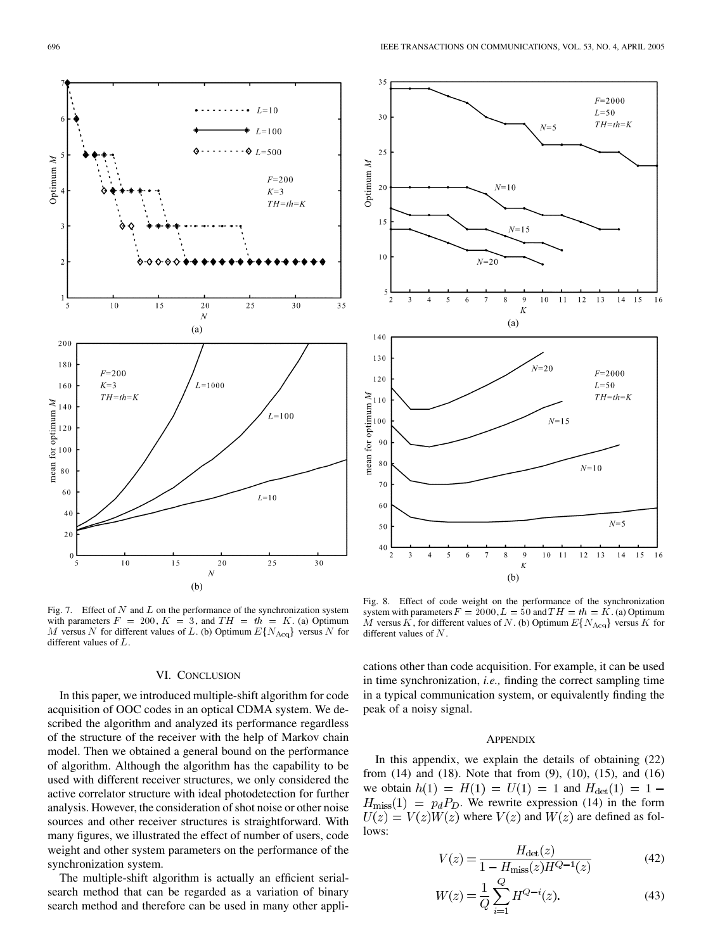

Fig. 7. Effect of  $N$  and  $L$  on the performance of the synchronization system with parameters  $F = 200$ ,  $K = 3$ , and  $TH = th = K$ . (a) Optimum M versus N for different values of L. (b) Optimum  $E\{N_{\text{Acq}}\}$  versus N for different values of L.

## VI. CONCLUSION

In this paper, we introduced multiple-shift algorithm for code acquisition of OOC codes in an optical CDMA system. We described the algorithm and analyzed its performance regardless of the structure of the receiver with the help of Markov chain model. Then we obtained a general bound on the performance of algorithm. Although the algorithm has the capability to be used with different receiver structures, we only considered the active correlator structure with ideal photodetection for further analysis. However, the consideration of shot noise or other noise sources and other receiver structures is straightforward. With many figures, we illustrated the effect of number of users, code weight and other system parameters on the performance of the synchronization system.

The multiple-shift algorithm is actually an efficient serialsearch method that can be regarded as a variation of binary search method and therefore can be used in many other appli-



Fig. 8. Effect of code weight on the performance of the synchronization system with parameters  $F = 2000, L = 50$  and  $TH = th = K$ . (a) Optimum M versus K, for different values of N. (b) Optimum  $E\{N_{\rm Acq}\}$  versus K for different values of N.

cations other than code acquisition. For example, it can be used in time synchronization, *i.e.,* finding the correct sampling time in a typical communication system, or equivalently finding the peak of a noisy signal.

### **APPENDIX**

In this appendix, we explain the details of obtaining (22) from  $(14)$  and  $(18)$ . Note that from  $(9)$ ,  $(10)$ ,  $(15)$ , and  $(16)$ we obtain  $h(1) = H(1) = U(1) = 1$  and  $H_{\text{det}}(1) = 1 H_{\text{miss}}(1) = p_d P_D$ . We rewrite expression (14) in the form  $U(z) = V(z)W(z)$  where  $V(z)$  and  $W(z)$  are defined as follows:

$$
V(z) = \frac{H_{\text{det}}(z)}{1 - H_{\text{miss}}(z)H^{Q-1}(z)}
$$
(42)

$$
W(z) = \frac{1}{Q} \sum_{i=1}^{Q} H^{Q-i}(z).
$$
 (43)